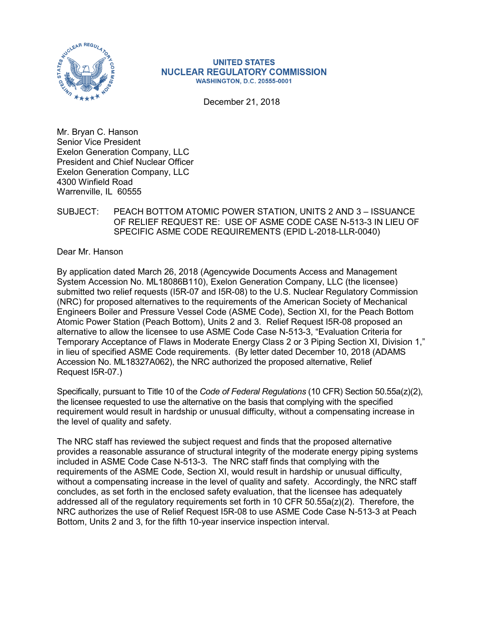

#### **UNITED STATES NUCLEAR REGULATORY COMMISSION WASHINGTON, D.C. 20555-0001**

December 21, 2018

Mr. Bryan C. Hanson Senior Vice President Exelon Generation Company, LLC President and Chief Nuclear Officer Exelon Generation Company, LLC 4300 Winfield Road Warrenville, IL 60555

## SUBJECT: PEACH BOTTOM ATOMIC POWER STATION, UNITS 2 AND 3 – ISSUANCE OF RELIEF REQUEST RE: USE OF ASME CODE CASE N-513-3 IN LIEU OF SPECIFIC ASME CODE REQUIREMENTS (EPID L-2018-LLR-0040)

Dear Mr. Hanson

By application dated March 26, 2018 (Agencywide Documents Access and Management System Accession No. ML18086B110), Exelon Generation Company, LLC (the licensee) submitted two relief requests (I5R-07 and I5R-08) to the U.S. Nuclear Regulatory Commission (NRC) for proposed alternatives to the requirements of the American Society of Mechanical Engineers Boiler and Pressure Vessel Code (ASME Code), Section XI, for the Peach Bottom Atomic Power Station (Peach Bottom), Units 2 and 3. Relief Request I5R-08 proposed an alternative to allow the licensee to use ASME Code Case N-513-3, "Evaluation Criteria for Temporary Acceptance of Flaws in Moderate Energy Class 2 or 3 Piping Section XI, Division 1," in lieu of specified ASME Code requirements. (By letter dated December 10, 2018 (ADAMS Accession No. ML18327A062), the NRC authorized the proposed alternative, Relief Request I5R-07.)

Specifically, pursuant to Title 10 of the *Code of Federal Regulations* (10 CFR) Section 50.55a(z)(2), the licensee requested to use the alternative on the basis that complying with the specified requirement would result in hardship or unusual difficulty, without a compensating increase in the level of quality and safety.

The NRC staff has reviewed the subject request and finds that the proposed alternative provides a reasonable assurance of structural integrity of the moderate energy piping systems included in ASME Code Case N-513-3. The NRC staff finds that complying with the requirements of the ASME Code, Section XI, would result in hardship or unusual difficulty, without a compensating increase in the level of quality and safety. Accordingly, the NRC staff concludes, as set forth in the enclosed safety evaluation, that the licensee has adequately addressed all of the regulatory requirements set forth in 10 CFR 50.55a(z)(2). Therefore, the NRC authorizes the use of Relief Request I5R-08 to use ASME Code Case N-513-3 at Peach Bottom, Units 2 and 3, for the fifth 10-year inservice inspection interval.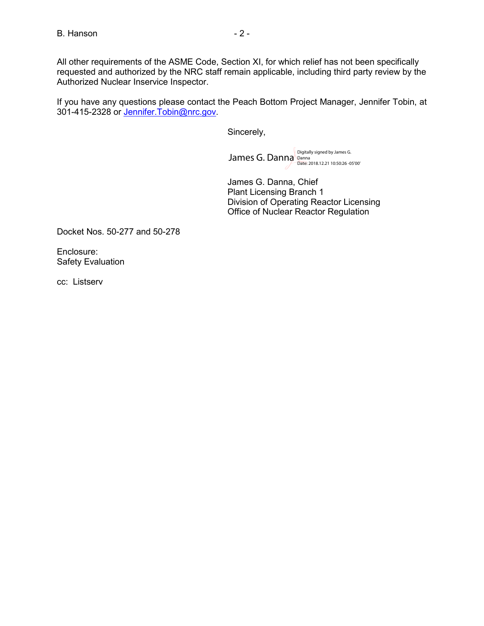All other requirements of the ASME Code, Section XI, for which relief has not been specifically requested and authorized by the NRC staff remain applicable, including third party review by the Authorized Nuclear Inservice Inspector.

If you have any questions please contact the Peach Bottom Project Manager, Jennifer Tobin, at 301-415-2328 or [Jennifer.Tobin@nrc.gov.](mailto:Jennifer.Tobin@nrc.gov)

Sincerely,

James G. Danna Digitally signed by James G.<br>Date: 2018.12.21 10:50:26 -05'00'

James G. Danna, Chief Plant Licensing Branch 1 Division of Operating Reactor Licensing Office of Nuclear Reactor Regulation

Docket Nos. 50-277 and 50-278

Enclosure: Safety Evaluation

cc: Listserv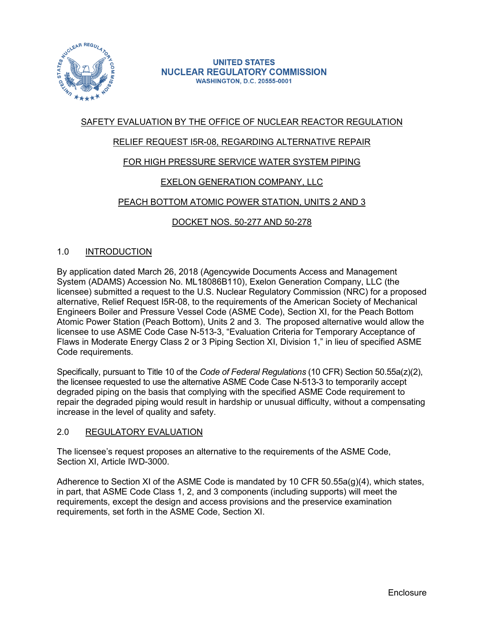

#### **UNITED STATES NUCLEAR REGULATORY COMMISSION WASHINGTON, D.C. 20555-0001**

# SAFETY EVALUATION BY THE OFFICE OF NUCLEAR REACTOR REGULATION

# RELIEF REQUEST I5R-08, REGARDING ALTERNATIVE REPAIR

# FOR HIGH PRESSURE SERVICE WATER SYSTEM PIPING

# EXELON GENERATION COMPANY, LLC

# PEACH BOTTOM ATOMIC POWER STATION, UNITS 2 AND 3

## DOCKET NOS. 50-277 AND 50-278

## 1.0 INTRODUCTION

By application dated March 26, 2018 (Agencywide Documents Access and Management System (ADAMS) Accession No. ML18086B110), Exelon Generation Company, LLC (the licensee) submitted a request to the U.S. Nuclear Regulatory Commission (NRC) for a proposed alternative, Relief Request I5R-08, to the requirements of the American Society of Mechanical Engineers Boiler and Pressure Vessel Code (ASME Code), Section XI, for the Peach Bottom Atomic Power Station (Peach Bottom), Units 2 and 3. The proposed alternative would allow the licensee to use ASME Code Case N-513-3, "Evaluation Criteria for Temporary Acceptance of Flaws in Moderate Energy Class 2 or 3 Piping Section XI, Division 1," in lieu of specified ASME Code requirements.

Specifically, pursuant to Title 10 of the *Code of Federal Regulations* (10 CFR) Section 50.55a(z)(2), the licensee requested to use the alternative ASME Code Case N-513-3 to temporarily accept degraded piping on the basis that complying with the specified ASME Code requirement to repair the degraded piping would result in hardship or unusual difficulty, without a compensating increase in the level of quality and safety.

## 2.0 REGULATORY EVALUATION

The licensee's request proposes an alternative to the requirements of the ASME Code, Section XI, Article IWD-3000.

Adherence to Section XI of the ASME Code is mandated by 10 CFR 50.55a(g)(4), which states, in part, that ASME Code Class 1, 2, and 3 components (including supports) will meet the requirements, except the design and access provisions and the preservice examination requirements, set forth in the ASME Code, Section XI.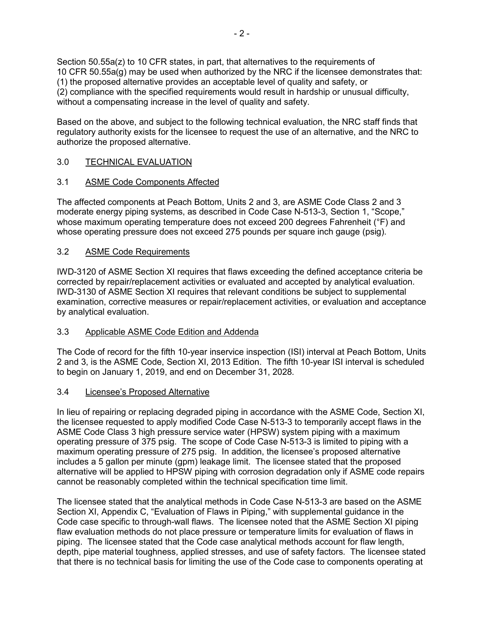Section 50.55a(z) to 10 CFR states, in part, that alternatives to the requirements of 10 CFR 50.55a(g) may be used when authorized by the NRC if the licensee demonstrates that: (1) the proposed alternative provides an acceptable level of quality and safety, or (2) compliance with the specified requirements would result in hardship or unusual difficulty, without a compensating increase in the level of quality and safety.

Based on the above, and subject to the following technical evaluation, the NRC staff finds that regulatory authority exists for the licensee to request the use of an alternative, and the NRC to authorize the proposed alternative.

# 3.0 TECHNICAL EVALUATION

## 3.1 ASME Code Components Affected

The affected components at Peach Bottom, Units 2 and 3, are ASME Code Class 2 and 3 moderate energy piping systems, as described in Code Case N-513-3, Section 1, "Scope," whose maximum operating temperature does not exceed 200 degrees Fahrenheit (°F) and whose operating pressure does not exceed 275 pounds per square inch gauge (psig).

## 3.2 ASME Code Requirements

IWD-3120 of ASME Section XI requires that flaws exceeding the defined acceptance criteria be corrected by repair/replacement activities or evaluated and accepted by analytical evaluation. IWD-3130 of ASME Section XI requires that relevant conditions be subject to supplemental examination, corrective measures or repair/replacement activities, or evaluation and acceptance by analytical evaluation.

## 3.3 Applicable ASME Code Edition and Addenda

The Code of record for the fifth 10-year inservice inspection (ISI) interval at Peach Bottom, Units 2 and 3, is the ASME Code, Section XI, 2013 Edition. The fifth 10-year ISI interval is scheduled to begin on January 1, 2019, and end on December 31, 2028.

## 3.4 Licensee's Proposed Alternative

In lieu of repairing or replacing degraded piping in accordance with the ASME Code, Section XI, the licensee requested to apply modified Code Case N-513-3 to temporarily accept flaws in the ASME Code Class 3 high pressure service water (HPSW) system piping with a maximum operating pressure of 375 psig. The scope of Code Case N-513-3 is limited to piping with a maximum operating pressure of 275 psig. In addition, the licensee's proposed alternative includes a 5 gallon per minute (gpm) leakage limit. The licensee stated that the proposed alternative will be applied to HPSW piping with corrosion degradation only if ASME code repairs cannot be reasonably completed within the technical specification time limit.

The licensee stated that the analytical methods in Code Case N-513-3 are based on the ASME Section XI, Appendix C, "Evaluation of Flaws in Piping," with supplemental guidance in the Code case specific to through-wall flaws. The licensee noted that the ASME Section XI piping flaw evaluation methods do not place pressure or temperature limits for evaluation of flaws in piping. The licensee stated that the Code case analytical methods account for flaw length, depth, pipe material toughness, applied stresses, and use of safety factors. The licensee stated that there is no technical basis for limiting the use of the Code case to components operating at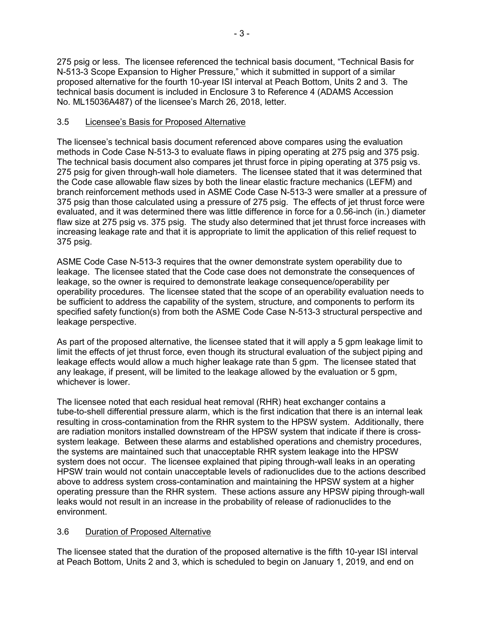275 psig or less. The licensee referenced the technical basis document, "Technical Basis for N-513-3 Scope Expansion to Higher Pressure," which it submitted in support of a similar proposed alternative for the fourth 10-year ISI interval at Peach Bottom, Units 2 and 3. The technical basis document is included in Enclosure 3 to Reference 4 (ADAMS Accession No. ML15036A487) of the licensee's March 26, 2018, letter.

## 3.5 Licensee's Basis for Proposed Alternative

The licensee's technical basis document referenced above compares using the evaluation methods in Code Case N-513-3 to evaluate flaws in piping operating at 275 psig and 375 psig. The technical basis document also compares jet thrust force in piping operating at 375 psig vs. 275 psig for given through-wall hole diameters. The licensee stated that it was determined that the Code case allowable flaw sizes by both the linear elastic fracture mechanics (LEFM) and branch reinforcement methods used in ASME Code Case N-513-3 were smaller at a pressure of 375 psig than those calculated using a pressure of 275 psig. The effects of jet thrust force were evaluated, and it was determined there was little difference in force for a 0.56-inch (in.) diameter flaw size at 275 psig vs. 375 psig. The study also determined that jet thrust force increases with increasing leakage rate and that it is appropriate to limit the application of this relief request to 375 psig.

ASME Code Case N-513-3 requires that the owner demonstrate system operability due to leakage. The licensee stated that the Code case does not demonstrate the consequences of leakage, so the owner is required to demonstrate leakage consequence/operability per operability procedures. The licensee stated that the scope of an operability evaluation needs to be sufficient to address the capability of the system, structure, and components to perform its specified safety function(s) from both the ASME Code Case N-513-3 structural perspective and leakage perspective.

As part of the proposed alternative, the licensee stated that it will apply a 5 gpm leakage limit to limit the effects of jet thrust force, even though its structural evaluation of the subject piping and leakage effects would allow a much higher leakage rate than 5 gpm. The licensee stated that any leakage, if present, will be limited to the leakage allowed by the evaluation or 5 gpm, whichever is lower.

The licensee noted that each residual heat removal (RHR) heat exchanger contains a tube-to-shell differential pressure alarm, which is the first indication that there is an internal leak resulting in cross-contamination from the RHR system to the HPSW system. Additionally, there are radiation monitors installed downstream of the HPSW system that indicate if there is crosssystem leakage. Between these alarms and established operations and chemistry procedures, the systems are maintained such that unacceptable RHR system leakage into the HPSW system does not occur. The licensee explained that piping through-wall leaks in an operating HPSW train would not contain unacceptable levels of radionuclides due to the actions described above to address system cross-contamination and maintaining the HPSW system at a higher operating pressure than the RHR system. These actions assure any HPSW piping through-wall leaks would not result in an increase in the probability of release of radionuclides to the environment.

# 3.6 Duration of Proposed Alternative

The licensee stated that the duration of the proposed alternative is the fifth 10-year ISI interval at Peach Bottom, Units 2 and 3, which is scheduled to begin on January 1, 2019, and end on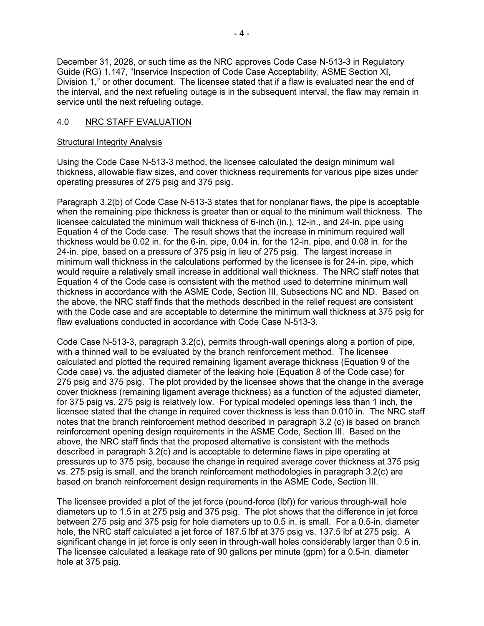December 31, 2028, or such time as the NRC approves Code Case N-513-3 in Regulatory Guide (RG) 1.147, "Inservice Inspection of Code Case Acceptability, ASME Section XI, Division 1," or other document. The licensee stated that if a flaw is evaluated near the end of the interval, and the next refueling outage is in the subsequent interval, the flaw may remain in service until the next refueling outage.

#### 4.0 NRC STAFF EVALUATION

#### Structural Integrity Analysis

Using the Code Case N-513-3 method, the licensee calculated the design minimum wall thickness, allowable flaw sizes, and cover thickness requirements for various pipe sizes under operating pressures of 275 psig and 375 psig.

Paragraph 3.2(b) of Code Case N-513-3 states that for nonplanar flaws, the pipe is acceptable when the remaining pipe thickness is greater than or equal to the minimum wall thickness. The licensee calculated the minimum wall thickness of 6-inch (in.), 12-in., and 24-in. pipe using Equation 4 of the Code case. The result shows that the increase in minimum required wall thickness would be 0.02 in. for the 6-in. pipe, 0.04 in. for the 12-in. pipe, and 0.08 in. for the 24-in. pipe, based on a pressure of 375 psig in lieu of 275 psig. The largest increase in minimum wall thickness in the calculations performed by the licensee is for 24-in. pipe, which would require a relatively small increase in additional wall thickness. The NRC staff notes that Equation 4 of the Code case is consistent with the method used to determine minimum wall thickness in accordance with the ASME Code, Section III, Subsections NC and ND. Based on the above, the NRC staff finds that the methods described in the relief request are consistent with the Code case and are acceptable to determine the minimum wall thickness at 375 psig for flaw evaluations conducted in accordance with Code Case N-513-3.

Code Case N-513-3, paragraph 3.2(c), permits through-wall openings along a portion of pipe, with a thinned wall to be evaluated by the branch reinforcement method. The licensee calculated and plotted the required remaining ligament average thickness (Equation 9 of the Code case) vs. the adjusted diameter of the leaking hole (Equation 8 of the Code case) for 275 psig and 375 psig. The plot provided by the licensee shows that the change in the average cover thickness (remaining ligament average thickness) as a function of the adjusted diameter, for 375 psig vs. 275 psig is relatively low. For typical modeled openings less than 1 inch, the licensee stated that the change in required cover thickness is less than 0.010 in. The NRC staff notes that the branch reinforcement method described in paragraph 3.2 (c) is based on branch reinforcement opening design requirements in the ASME Code, Section III. Based on the above, the NRC staff finds that the proposed alternative is consistent with the methods described in paragraph 3.2(c) and is acceptable to determine flaws in pipe operating at pressures up to 375 psig, because the change in required average cover thickness at 375 psig vs. 275 psig is small, and the branch reinforcement methodologies in paragraph 3.2(c) are based on branch reinforcement design requirements in the ASME Code, Section III.

The licensee provided a plot of the jet force (pound-force (lbf)) for various through-wall hole diameters up to 1.5 in at 275 psig and 375 psig. The plot shows that the difference in jet force between 275 psig and 375 psig for hole diameters up to 0.5 in. is small. For a 0.5-in. diameter hole, the NRC staff calculated a jet force of 187.5 lbf at 375 psig vs. 137.5 lbf at 275 psig. A significant change in jet force is only seen in through-wall holes considerably larger than 0.5 in. The licensee calculated a leakage rate of 90 gallons per minute (gpm) for a 0.5-in. diameter hole at 375 psig.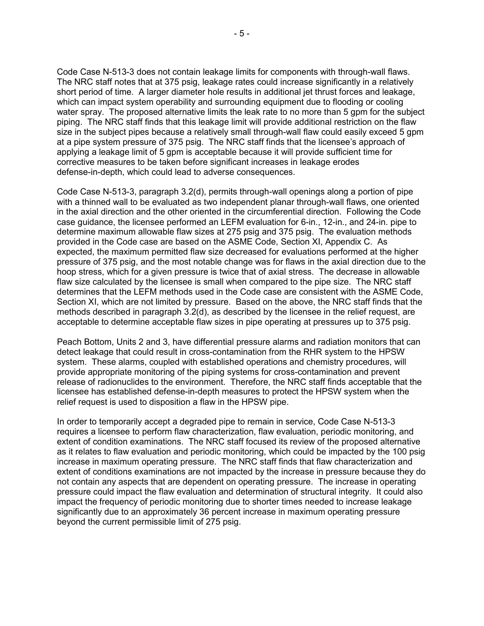Code Case N-513-3 does not contain leakage limits for components with through-wall flaws. The NRC staff notes that at 375 psig, leakage rates could increase significantly in a relatively short period of time. A larger diameter hole results in additional jet thrust forces and leakage, which can impact system operability and surrounding equipment due to flooding or cooling water spray. The proposed alternative limits the leak rate to no more than 5 gpm for the subject piping. The NRC staff finds that this leakage limit will provide additional restriction on the flaw size in the subject pipes because a relatively small through-wall flaw could easily exceed 5 gpm at a pipe system pressure of 375 psig. The NRC staff finds that the licensee's approach of applying a leakage limit of 5 gpm is acceptable because it will provide sufficient time for corrective measures to be taken before significant increases in leakage erodes defense-in-depth, which could lead to adverse consequences.

Code Case N-513-3, paragraph 3.2(d), permits through-wall openings along a portion of pipe with a thinned wall to be evaluated as two independent planar through-wall flaws, one oriented in the axial direction and the other oriented in the circumferential direction. Following the Code case guidance, the licensee performed an LEFM evaluation for 6-in., 12-in., and 24-in. pipe to determine maximum allowable flaw sizes at 275 psig and 375 psig. The evaluation methods provided in the Code case are based on the ASME Code, Section XI, Appendix C. As expected, the maximum permitted flaw size decreased for evaluations performed at the higher pressure of 375 psig, and the most notable change was for flaws in the axial direction due to the hoop stress, which for a given pressure is twice that of axial stress. The decrease in allowable flaw size calculated by the licensee is small when compared to the pipe size. The NRC staff determines that the LEFM methods used in the Code case are consistent with the ASME Code, Section XI, which are not limited by pressure. Based on the above, the NRC staff finds that the methods described in paragraph 3.2(d), as described by the licensee in the relief request, are acceptable to determine acceptable flaw sizes in pipe operating at pressures up to 375 psig.

Peach Bottom, Units 2 and 3, have differential pressure alarms and radiation monitors that can detect leakage that could result in cross-contamination from the RHR system to the HPSW system. These alarms, coupled with established operations and chemistry procedures, will provide appropriate monitoring of the piping systems for cross-contamination and prevent release of radionuclides to the environment. Therefore, the NRC staff finds acceptable that the licensee has established defense-in-depth measures to protect the HPSW system when the relief request is used to disposition a flaw in the HPSW pipe.

In order to temporarily accept a degraded pipe to remain in service, Code Case N-513-3 requires a licensee to perform flaw characterization, flaw evaluation, periodic monitoring, and extent of condition examinations. The NRC staff focused its review of the proposed alternative as it relates to flaw evaluation and periodic monitoring, which could be impacted by the 100 psig increase in maximum operating pressure. The NRC staff finds that flaw characterization and extent of conditions examinations are not impacted by the increase in pressure because they do not contain any aspects that are dependent on operating pressure. The increase in operating pressure could impact the flaw evaluation and determination of structural integrity. It could also impact the frequency of periodic monitoring due to shorter times needed to increase leakage significantly due to an approximately 36 percent increase in maximum operating pressure beyond the current permissible limit of 275 psig.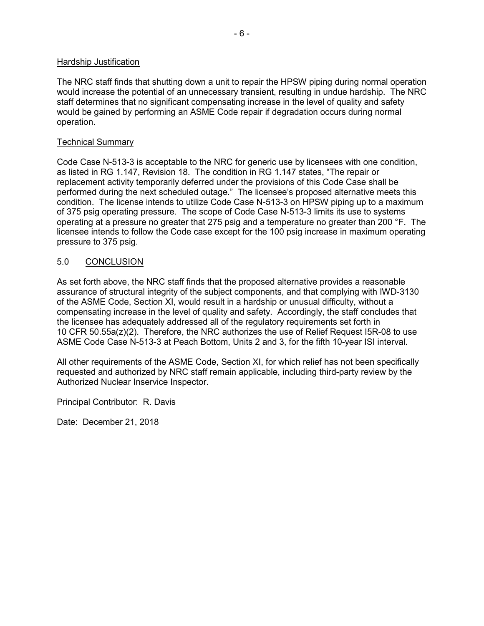#### Hardship Justification

The NRC staff finds that shutting down a unit to repair the HPSW piping during normal operation would increase the potential of an unnecessary transient, resulting in undue hardship. The NRC staff determines that no significant compensating increase in the level of quality and safety would be gained by performing an ASME Code repair if degradation occurs during normal operation.

#### Technical Summary

Code Case N-513-3 is acceptable to the NRC for generic use by licensees with one condition, as listed in RG 1.147, Revision 18. The condition in RG 1.147 states, "The repair or replacement activity temporarily deferred under the provisions of this Code Case shall be performed during the next scheduled outage." The licensee's proposed alternative meets this condition. The license intends to utilize Code Case N-513-3 on HPSW piping up to a maximum of 375 psig operating pressure. The scope of Code Case N-513-3 limits its use to systems operating at a pressure no greater that 275 psig and a temperature no greater than 200 °F. The licensee intends to follow the Code case except for the 100 psig increase in maximum operating pressure to 375 psig.

#### 5.0 CONCLUSION

As set forth above, the NRC staff finds that the proposed alternative provides a reasonable assurance of structural integrity of the subject components, and that complying with IWD-3130 of the ASME Code, Section XI, would result in a hardship or unusual difficulty, without a compensating increase in the level of quality and safety. Accordingly, the staff concludes that the licensee has adequately addressed all of the regulatory requirements set forth in 10 CFR 50.55a(z)(2). Therefore, the NRC authorizes the use of Relief Request I5R-08 to use ASME Code Case N-513-3 at Peach Bottom, Units 2 and 3, for the fifth 10-year ISI interval.

All other requirements of the ASME Code, Section XI, for which relief has not been specifically requested and authorized by NRC staff remain applicable, including third-party review by the Authorized Nuclear Inservice Inspector.

Principal Contributor: R. Davis

Date: December 21, 2018